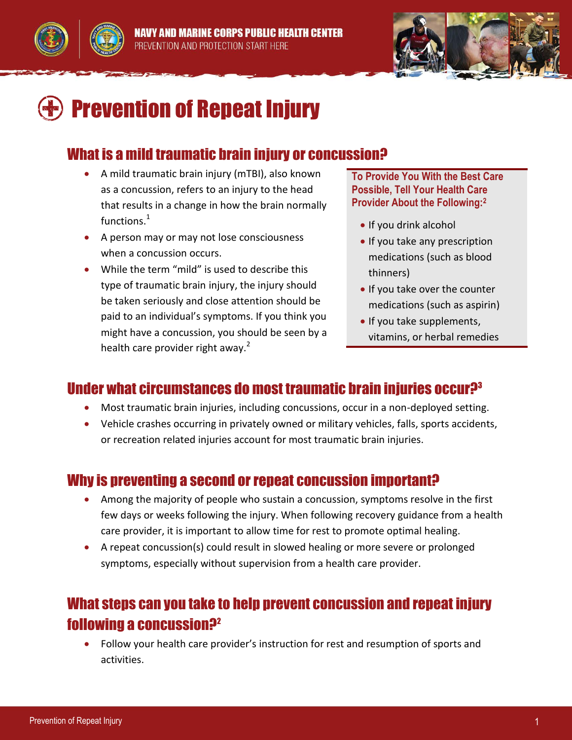





# $\blacktriangleright$  Prevention of Repeat Injury

#### What is a mild traumatic brain injury or concussion?

- A mild traumatic brain injury (mTBI), also known as a concussion, refers to an injury to the head that results in a change in how the brain normally  $functions<sup>1</sup>$
- A person may or may not lose consciousness when a concussion occurs.
- While the term "mild" is used to describe this type of traumatic brain injury, the injury should be taken seriously and close attention should be paid to an individual's symptoms. If you think you might have a concussion, you should be seen by a health care provider right away. $2$

**To Provide You With the Best Care Possible, Tell Your Health Care Provider About the Following:<sup>2</sup>**

- If you drink alcohol
- If you take any prescription medications (such as blood thinners)
- If you take over the counter medications (such as aspirin)
- If you take supplements, vitamins, or herbal remedies

## Under what circumstances do most traumatic brain injuries occur $P<sup>3</sup>$

- Most traumatic brain injuries, including concussions, occur in a non-deployed setting.
- Vehicle crashes occurring in privately owned or military vehicles, falls, sports accidents, or recreation related injuries account for most traumatic brain injuries.

#### Why is preventing a second or repeat concussion important?

- Among the majority of people who sustain a concussion, symptoms resolve in the first few days or weeks following the injury. When following recovery guidance from a health care provider, it is important to allow time for rest to promote optimal healing.
- A repeat concussion(s) could result in slowed healing or more severe or prolonged symptoms, especially without supervision from a health care provider.

#### What steps can you take to help prevent concussion and repeat injury following a concussion?<sup>2</sup>

 Follow your health care provider's instruction for rest and resumption of sports and activities.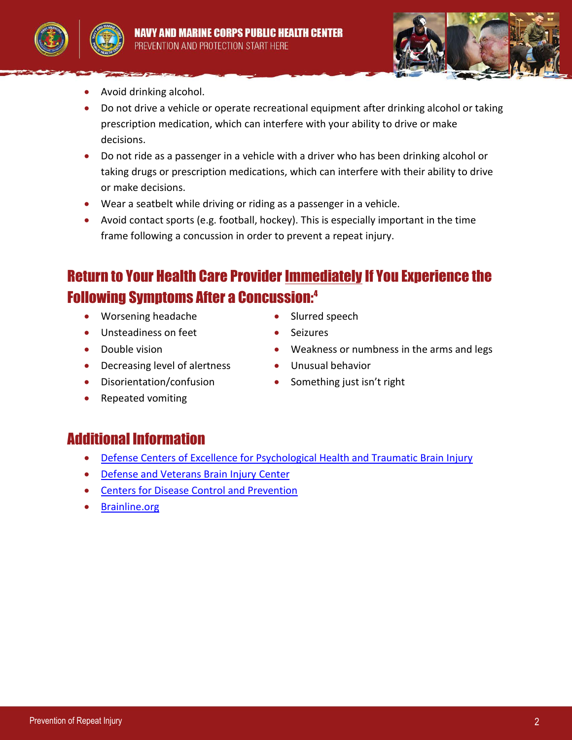





- Avoid drinking alcohol.
- Do not drive a vehicle or operate recreational equipment after drinking alcohol or taking prescription medication, which can interfere with your ability to drive or make decisions.
- Do not ride as a passenger in a vehicle with a driver who has been drinking alcohol or taking drugs or prescription medications, which can interfere with their ability to drive or make decisions.
- Wear a seatbelt while driving or riding as a passenger in a vehicle.
- Avoid contact sports (e.g. football, hockey). This is especially important in the time frame following a concussion in order to prevent a repeat injury.

## Return to Your Health Care Provider Immediately If You Experience the Following Symptoms After a Concussion:<sup>4</sup>

- Worsening headache Slurred speech
- Unsteadiness on feet **Canadia** Seizures
- 
- Decreasing level of alertness Unusual behavior
- 
- 
- Double vision Weakness or numbness in the arms and legs
	-
- Disorientation/confusion Something just isn't right
- Repeated vomiting

#### Additional Information

- [Defense Centers of Excellence for Psychological Health and Traumatic Brain Injury](http://www.dcoe.mil/)
- [Defense and Veterans Brain Injury Center](http://dvbic.dcoe.mil/)
- [Centers for Disease Control and Prevention](http://www.cdc.gov/TraumaticBrainInjury/index.html)
- [Brainline.org](http://www.brainline.org/)